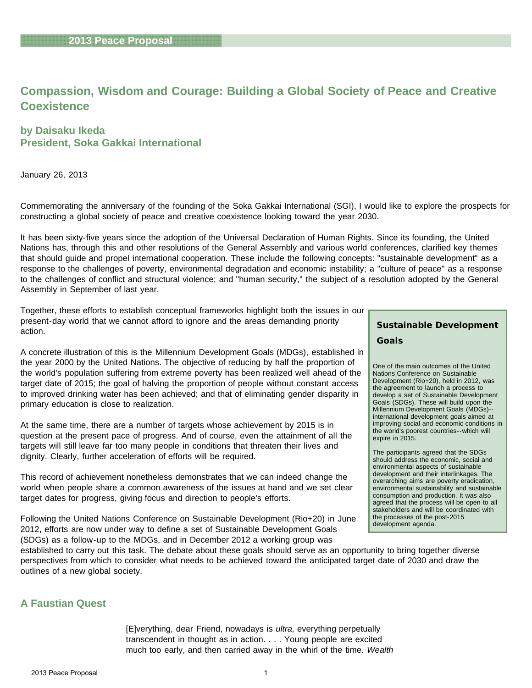# **Compassion, Wisdom and Courage: Building a Global Society of Peace and Creative Coexistence**

# **by Daisaku Ikeda President, Soka Gakkai International**

January 26, 2013

Commemorating the anniversary of the founding of the Soka Gakkai International (SGI), I would like to explore the prospects for constructing a global society of peace and creative coexistence looking toward the year 2030.

It has been sixty-five years since the adoption of the Universal Declaration of Human Rights. Since its founding, the United Nations has, through this and other resolutions of the General Assembly and various world conferences, clarified key themes that should guide and propel international cooperation. These include the following concepts: "sustainable development" as a response to the challenges of poverty, environmental degradation and economic instability; a "culture of peace" as a response to the challenges of conflict and structural violence; and "human security," the subject of a resolution adopted by the General Assembly in September of last year.

Together, these efforts to establish conceptual frameworks highlight both the issues in our present-day world that we cannot afford to ignore and the areas demanding priority action.

A concrete illustration of this is the Millennium Development Goals (MDGs), established in the year 2000 by the United Nations. The objective of reducing by half the proportion of the world's population suffering from extreme poverty has been realized well ahead of the target date of 2015; the goal of halving the proportion of people without constant access to improved drinking water has been achieved; and that of eliminating gender disparity in primary education is close to realization.

At the same time, there are a number of targets whose achievement by 2015 is in question at the present pace of progress. And of course, even the attainment of all the targets will still leave far too many people in conditions that threaten their lives and dignity. Clearly, further acceleration of efforts will be required.

This record of achievement nonetheless demonstrates that we can indeed change the world when people share a common awareness of the issues at hand and we set clear target dates for progress, giving focus and direction to people's efforts.

Following the United Nations Conference on Sustainable Development (Rio+20) in June 2012, efforts are now under way to define a set of Sustainable Development Goals (SDGs) as a follow-up to the MDGs, and in December 2012 a working group was

# **Sustainable Development Goals**

One of the main outcomes of the United Nations Conference on Sustainable Development (Rio+20), held in 2012, was the agreement to launch a process to develop a set of Sustainable Development Goals (SDGs). These will build upon the Millennium Development Goals (MDGs)- international development goals aimed at improving social and economic conditions in the world's poorest countries--which will expire in 2015.

The participants agreed that the SDGs should address the economic, social and environmental aspects of sustainable development and their interlinkages. The overarching aims are poverty eradication, environmental sustainability and sustainable consumption and production. It was also agreed that the process will be open to all stakeholders and will be coordinated with the processes of the post-2015 development agenda.

established to carry out this task. The debate about these goals should serve as an opportunity to bring together diverse perspectives from which to consider what needs to be achieved toward the anticipated target date of 2030 and draw the outlines of a new global society.

## **A Faustian Quest**

[E]verything, dear Friend, nowadays is *ultra,* everything perpetually transcendent in thought as in action. . . . Young people are excited much too early, and then carried away in the whirl of the time. *Wealth*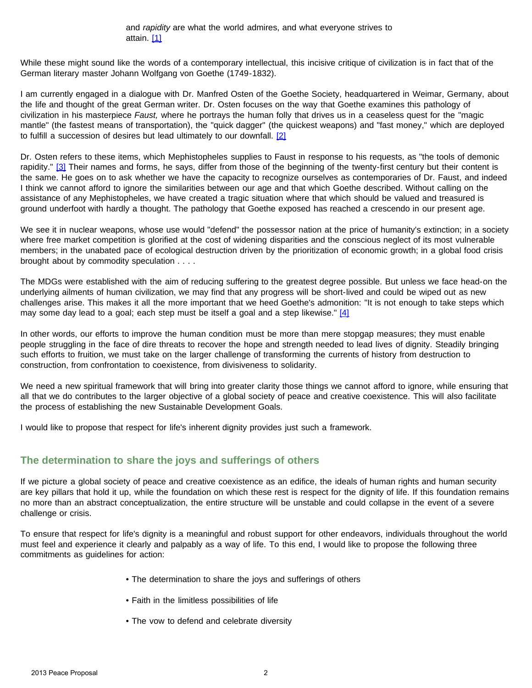While these might sound like the words of a contemporary intellectual, this incisive critique of civilization is in fact that of the German literary master Johann Wolfgang von Goethe (1749-1832).

I am currently engaged in a dialogue with Dr. Manfred Osten of the Goethe Society, headquartered in Weimar, Germany, about the life and thought of the great German writer. Dr. Osten focuses on the way that Goethe examines this pathology of civilization in his masterpiece *Faust,* where he portrays the human folly that drives us in a ceaseless quest for the "magic mantle" (the fastest means of transportation), the "quick dagger" (the quickest weapons) and "fast money," which are deployed to fulfill a succession of desires but lead ultimately to our downfall. [2]

Dr. Osten refers to these items, which Mephistopheles supplies to Faust in response to his requests, as "the tools of demonic rapidity." [3] Their names and forms, he says, differ from those of the beginning of the twenty-first century but their content is the same. He goes on to ask whether we have the capacity to recognize ourselves as contemporaries of Dr. Faust, and indeed I think we cannot afford to ignore the similarities between our age and that which Goethe described. Without calling on the assistance of any Mephistopheles, we have created a tragic situation where that which should be valued and treasured is ground underfoot with hardly a thought. The pathology that Goethe exposed has reached a crescendo in our present age.

We see it in nuclear weapons, whose use would "defend" the possessor nation at the price of humanity's extinction; in a society where free market competition is glorified at the cost of widening disparities and the conscious neglect of its most vulnerable members; in the unabated pace of ecological destruction driven by the prioritization of economic growth; in a global food crisis brought about by commodity speculation . . . .

The MDGs were established with the aim of reducing suffering to the greatest degree possible. But unless we face head-on the underlying ailments of human civilization, we may find that any progress will be short-lived and could be wiped out as new challenges arise. This makes it all the more important that we heed Goethe's admonition: "It is not enough to take steps which may some day lead to a goal; each step must be itself a goal and a step likewise."  $[4]$ 

In other words, our efforts to improve the human condition must be more than mere stopgap measures; they must enable people struggling in the face of dire threats to recover the hope and strength needed to lead lives of dignity. Steadily bringing such efforts to fruition, we must take on the larger challenge of transforming the currents of history from destruction to construction, from confrontation to coexistence, from divisiveness to solidarity.

We need a new spiritual framework that will bring into greater clarity those things we cannot afford to ignore, while ensuring that all that we do contributes to the larger objective of a global society of peace and creative coexistence. This will also facilitate the process of establishing the new Sustainable Development Goals.

I would like to propose that respect for life's inherent dignity provides just such a framework.

# **The determination to share the joys and sufferings of others**

If we picture a global society of peace and creative coexistence as an edifice, the ideals of human rights and human security are key pillars that hold it up, while the foundation on which these rest is respect for the dignity of life. If this foundation remains no more than an abstract conceptualization, the entire structure will be unstable and could collapse in the event of a severe challenge or crisis.

To ensure that respect for life's dignity is a meaningful and robust support for other endeavors, individuals throughout the world must feel and experience it clearly and palpably as a way of life. To this end, I would like to propose the following three commitments as guidelines for action:

- The determination to share the joys and sufferings of others
- Faith in the limitless possibilities of life
- The vow to defend and celebrate diversity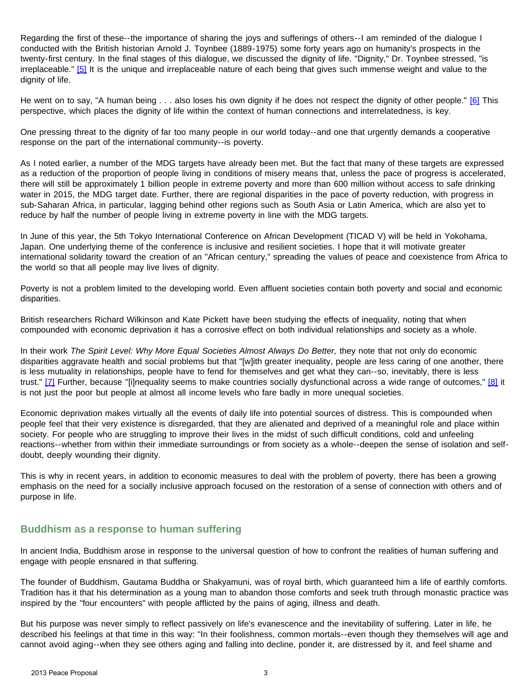Regarding the first of these--the importance of sharing the joys and sufferings of others--I am reminded of the dialogue I conducted with the British historian Arnold J. Toynbee (1889-1975) some forty years ago on humanity's prospects in the twenty-first century. In the final stages of this dialogue, we discussed the dignity of life. "Dignity," Dr. Toynbee stressed, "is irreplaceable." [5] It is the unique and irreplaceable nature of each being that gives such immense weight and value to the dignity of life.

He went on to say, "A human being . . . also loses his own dignity if he does not respect the dignity of other people." [6] This perspective, which places the dignity of life within the context of human connections and interrelatedness, is key.

One pressing threat to the dignity of far too many people in our world today--and one that urgently demands a cooperative response on the part of the international community--is poverty.

As I noted earlier, a number of the MDG targets have already been met. But the fact that many of these targets are expressed as a reduction of the proportion of people living in conditions of misery means that, unless the pace of progress is accelerated, there will still be approximately 1 billion people in extreme poverty and more than 600 million without access to safe drinking water in 2015, the MDG target date. Further, there are regional disparities in the pace of poverty reduction, with progress in sub-Saharan Africa, in particular, lagging behind other regions such as South Asia or Latin America, which are also yet to reduce by half the number of people living in extreme poverty in line with the MDG targets.

In June of this year, the 5th Tokyo International Conference on African Development (TICAD V) will be held in Yokohama, Japan. One underlying theme of the conference is inclusive and resilient societies. I hope that it will motivate greater international solidarity toward the creation of an "African century," spreading the values of peace and coexistence from Africa to the world so that all people may live lives of dignity.

Poverty is not a problem limited to the developing world. Even affluent societies contain both poverty and social and economic disparities.

British researchers Richard Wilkinson and Kate Pickett have been studying the effects of inequality, noting that when compounded with economic deprivation it has a corrosive effect on both individual relationships and society as a whole.

In their work *The Spirit Level: Why More Equal Societies Almost Always Do Better,* they note that not only do economic disparities aggravate health and social problems but that "[w]ith greater inequality, people are less caring of one another, there is less mutuality in relationships, people have to fend for themselves and get what they can--so, inevitably, there is less trust." [7] Further, because "[i]nequality seems to make countries socially dysfunctional across a wide range of outcomes," [8] it is not just the poor but people at almost all income levels who fare badly in more unequal societies.

Economic deprivation makes virtually all the events of daily life into potential sources of distress. This is compounded when people feel that their very existence is disregarded, that they are alienated and deprived of a meaningful role and place within society. For people who are struggling to improve their lives in the midst of such difficult conditions, cold and unfeeling reactions--whether from within their immediate surroundings or from society as a whole--deepen the sense of isolation and selfdoubt, deeply wounding their dignity.

This is why in recent years, in addition to economic measures to deal with the problem of poverty, there has been a growing emphasis on the need for a socially inclusive approach focused on the restoration of a sense of connection with others and of purpose in life.

## **Buddhism as a response to human suffering**

In ancient India, Buddhism arose in response to the universal question of how to confront the realities of human suffering and engage with people ensnared in that suffering.

The founder of Buddhism, Gautama Buddha or Shakyamuni, was of royal birth, which guaranteed him a life of earthly comforts. Tradition has it that his determination as a young man to abandon those comforts and seek truth through monastic practice was inspired by the "four encounters" with people afflicted by the pains of aging, illness and death.

But his purpose was never simply to reflect passively on life's evanescence and the inevitability of suffering. Later in life, he described his feelings at that time in this way: "In their foolishness, common mortals--even though they themselves will age and cannot avoid aging--when they see others aging and falling into decline, ponder it, are distressed by it, and feel shame and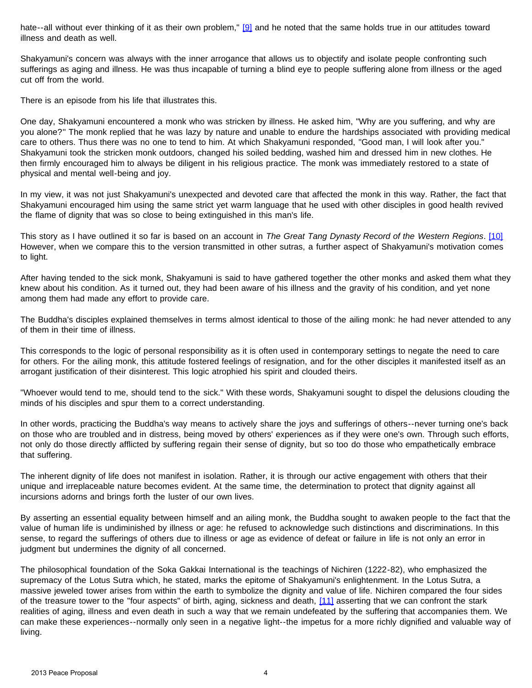hate--all without ever thinking of it as their own problem," [9] and he noted that the same holds true in our attitudes toward illness and death as well.

Shakyamuni's concern was always with the inner arrogance that allows us to objectify and isolate people confronting such sufferings as aging and illness. He was thus incapable of turning a blind eye to people suffering alone from illness or the aged cut off from the world.

There is an episode from his life that illustrates this.

One day, Shakyamuni encountered a monk who was stricken by illness. He asked him, "Why are you suffering, and why are you alone?" The monk replied that he was lazy by nature and unable to endure the hardships associated with providing medical care to others. Thus there was no one to tend to him. At which Shakyamuni responded, "Good man, I will look after you." Shakyamuni took the stricken monk outdoors, changed his soiled bedding, washed him and dressed him in new clothes. He then firmly encouraged him to always be diligent in his religious practice. The monk was immediately restored to a state of physical and mental well-being and joy.

In my view, it was not just Shakyamuni's unexpected and devoted care that affected the monk in this way. Rather, the fact that Shakyamuni encouraged him using the same strict yet warm language that he used with other disciples in good health revived the flame of dignity that was so close to being extinguished in this man's life.

This story as I have outlined it so far is based on an account in *The Great Tang Dynasty Record of the Western Regions*. [10] However, when we compare this to the version transmitted in other sutras, a further aspect of Shakyamuni's motivation comes to light.

After having tended to the sick monk, Shakyamuni is said to have gathered together the other monks and asked them what they knew about his condition. As it turned out, they had been aware of his illness and the gravity of his condition, and yet none among them had made any effort to provide care.

The Buddha's disciples explained themselves in terms almost identical to those of the ailing monk: he had never attended to any of them in their time of illness.

This corresponds to the logic of personal responsibility as it is often used in contemporary settings to negate the need to care for others. For the ailing monk, this attitude fostered feelings of resignation, and for the other disciples it manifested itself as an arrogant justification of their disinterest. This logic atrophied his spirit and clouded theirs.

"Whoever would tend to me, should tend to the sick." With these words, Shakyamuni sought to dispel the delusions clouding the minds of his disciples and spur them to a correct understanding.

In other words, practicing the Buddha's way means to actively share the joys and sufferings of others--never turning one's back on those who are troubled and in distress, being moved by others' experiences as if they were one's own. Through such efforts, not only do those directly afflicted by suffering regain their sense of dignity, but so too do those who empathetically embrace that suffering.

The inherent dignity of life does not manifest in isolation. Rather, it is through our active engagement with others that their unique and irreplaceable nature becomes evident. At the same time, the determination to protect that dignity against all incursions adorns and brings forth the luster of our own lives.

By asserting an essential equality between himself and an ailing monk, the Buddha sought to awaken people to the fact that the value of human life is undiminished by illness or age: he refused to acknowledge such distinctions and discriminations. In this sense, to regard the sufferings of others due to illness or age as evidence of defeat or failure in life is not only an error in judgment but undermines the dignity of all concerned.

The philosophical foundation of the Soka Gakkai International is the teachings of Nichiren (1222-82), who emphasized the supremacy of the Lotus Sutra which, he stated, marks the epitome of Shakyamuni's enlightenment. In the Lotus Sutra, a massive jeweled tower arises from within the earth to symbolize the dignity and value of life. Nichiren compared the four sides of the treasure tower to the "four aspects" of birth, aging, sickness and death, [11] asserting that we can confront the stark realities of aging, illness and even death in such a way that we remain undefeated by the suffering that accompanies them. We can make these experiences--normally only seen in a negative light--the impetus for a more richly dignified and valuable way of living.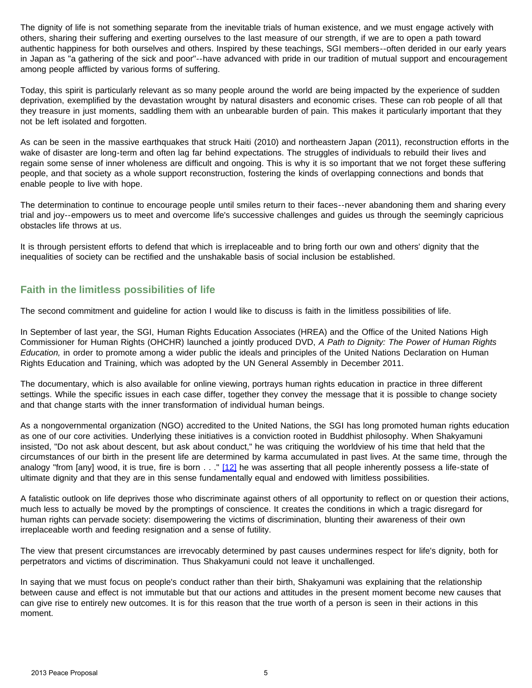The dignity of life is not something separate from the inevitable trials of human existence, and we must engage actively with others, sharing their suffering and exerting ourselves to the last measure of our strength, if we are to open a path toward authentic happiness for both ourselves and others. Inspired by these teachings, SGI members--often derided in our early years in Japan as "a gathering of the sick and poor"--have advanced with pride in our tradition of mutual support and encouragement among people afflicted by various forms of suffering.

Today, this spirit is particularly relevant as so many people around the world are being impacted by the experience of sudden deprivation, exemplified by the devastation wrought by natural disasters and economic crises. These can rob people of all that they treasure in just moments, saddling them with an unbearable burden of pain. This makes it particularly important that they not be left isolated and forgotten.

As can be seen in the massive earthquakes that struck Haiti (2010) and northeastern Japan (2011), reconstruction efforts in the wake of disaster are long-term and often lag far behind expectations. The struggles of individuals to rebuild their lives and regain some sense of inner wholeness are difficult and ongoing. This is why it is so important that we not forget these suffering people, and that society as a whole support reconstruction, fostering the kinds of overlapping connections and bonds that enable people to live with hope.

The determination to continue to encourage people until smiles return to their faces--never abandoning them and sharing every trial and joy--empowers us to meet and overcome life's successive challenges and guides us through the seemingly capricious obstacles life throws at us.

It is through persistent efforts to defend that which is irreplaceable and to bring forth our own and others' dignity that the inequalities of society can be rectified and the unshakable basis of social inclusion be established.

# **Faith in the limitless possibilities of life**

The second commitment and guideline for action I would like to discuss is faith in the limitless possibilities of life.

In September of last year, the SGI, Human Rights Education Associates (HREA) and the Office of the United Nations High Commissioner for Human Rights (OHCHR) launched a jointly produced DVD, *A Path to Dignity: The Power of Human Rights Education,* in order to promote among a wider public the ideals and principles of the United Nations Declaration on Human Rights Education and Training, which was adopted by the UN General Assembly in December 2011.

The documentary, which is also available for online viewing, portrays human rights education in practice in three different settings. While the specific issues in each case differ, together they convey the message that it is possible to change society and that change starts with the inner transformation of individual human beings.

As a nongovernmental organization (NGO) accredited to the United Nations, the SGI has long promoted human rights education as one of our core activities. Underlying these initiatives is a conviction rooted in Buddhist philosophy. When Shakyamuni insisted, "Do not ask about descent, but ask about conduct," he was critiquing the worldview of his time that held that the circumstances of our birth in the present life are determined by karma accumulated in past lives. At the same time, through the analogy "from [any] wood, it is true, fire is born  $\ldots$  " [12] he was asserting that all people inherently possess a life-state of ultimate dignity and that they are in this sense fundamentally equal and endowed with limitless possibilities.

A fatalistic outlook on life deprives those who discriminate against others of all opportunity to reflect on or question their actions, much less to actually be moved by the promptings of conscience. It creates the conditions in which a tragic disregard for human rights can pervade society: disempowering the victims of discrimination, blunting their awareness of their own irreplaceable worth and feeding resignation and a sense of futility.

The view that present circumstances are irrevocably determined by past causes undermines respect for life's dignity, both for perpetrators and victims of discrimination. Thus Shakyamuni could not leave it unchallenged.

In saying that we must focus on people's conduct rather than their birth, Shakyamuni was explaining that the relationship between cause and effect is not immutable but that our actions and attitudes in the present moment become new causes that can give rise to entirely new outcomes. It is for this reason that the true worth of a person is seen in their actions in this moment.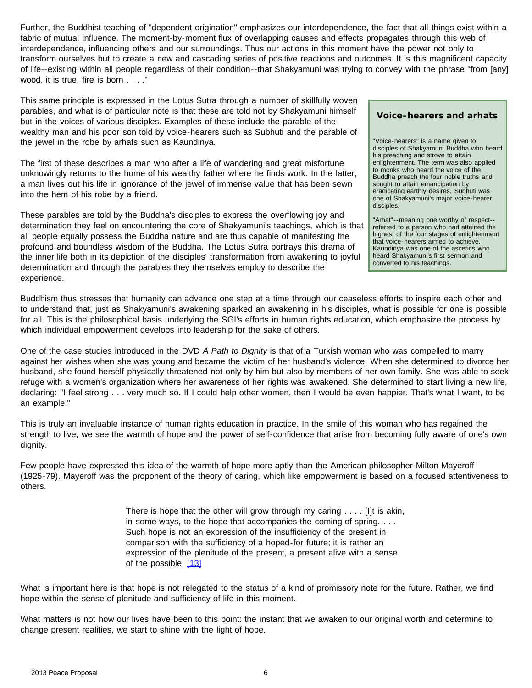Further, the Buddhist teaching of "dependent origination" emphasizes our interdependence, the fact that all things exist within a fabric of mutual influence. The moment-by-moment flux of overlapping causes and effects propagates through this web of interdependence, influencing others and our surroundings. Thus our actions in this moment have the power not only to transform ourselves but to create a new and cascading series of positive reactions and outcomes. It is this magnificent capacity of life--existing within all people regardless of their condition--that Shakyamuni was trying to convey with the phrase "from [any] wood, it is true, fire is born . . . ."

This same principle is expressed in the Lotus Sutra through a number of skillfully woven parables, and what is of particular note is that these are told not by Shakyamuni himself but in the voices of various disciples. Examples of these include the parable of the wealthy man and his poor son told by voice-hearers such as Subhuti and the parable of the jewel in the robe by arhats such as Kaundinya.

The first of these describes a man who after a life of wandering and great misfortune unknowingly returns to the home of his wealthy father where he finds work. In the latter, a man lives out his life in ignorance of the jewel of immense value that has been sewn into the hem of his robe by a friend.

These parables are told by the Buddha's disciples to express the overflowing joy and determination they feel on encountering the core of Shakyamuni's teachings, which is that all people equally possess the Buddha nature and are thus capable of manifesting the profound and boundless wisdom of the Buddha. The Lotus Sutra portrays this drama of the inner life both in its depiction of the disciples' transformation from awakening to joyful determination and through the parables they themselves employ to describe the experience.

#### **Voice-hearers and arhats**

"Voice-hearers" is a name given to disciples of Shakyamuni Buddha who heard his preaching and strove to attain enlightenment. The term was also applied to monks who heard the voice of the Buddha preach the four noble truths and sought to attain emancipation by eradicating earthly desires. Subhuti was one of Shakyamuni's major voice-hearer disciples.

"Arhat"--meaning one worthy of respect- referred to a person who had attained the highest of the four stages of enlightenment that voice-hearers aimed to achieve. Kaundinya was one of the ascetics who heard Shakyamuni's first sermon and converted to his teachings.

Buddhism thus stresses that humanity can advance one step at a time through our ceaseless efforts to inspire each other and to understand that, just as Shakyamuni's awakening sparked an awakening in his disciples, what is possible for one is possible for all. This is the philosophical basis underlying the SGI's efforts in human rights education, which emphasize the process by which individual empowerment develops into leadership for the sake of others.

One of the case studies introduced in the DVD *A Path to Dignity* is that of a Turkish woman who was compelled to marry against her wishes when she was young and became the victim of her husband's violence. When she determined to divorce her husband, she found herself physically threatened not only by him but also by members of her own family. She was able to seek refuge with a women's organization where her awareness of her rights was awakened. She determined to start living a new life, declaring: "I feel strong . . . very much so. If I could help other women, then I would be even happier. That's what I want, to be an example."

This is truly an invaluable instance of human rights education in practice. In the smile of this woman who has regained the strength to live, we see the warmth of hope and the power of self-confidence that arise from becoming fully aware of one's own dignity.

Few people have expressed this idea of the warmth of hope more aptly than the American philosopher Milton Mayeroff (1925-79). Mayeroff was the proponent of the theory of caring, which like empowerment is based on a focused attentiveness to others.

> There is hope that the other will grow through my caring . . . . [I]t is akin, in some ways, to the hope that accompanies the coming of spring. . . . Such hope is not an expression of the insufficiency of the present in comparison with the sufficiency of a hoped-for future; it is rather an expression of the plenitude of the present, a present alive with a sense of the possible. [13]

What is important here is that hope is not relegated to the status of a kind of promissory note for the future. Rather, we find hope within the sense of plenitude and sufficiency of life in this moment.

What matters is not how our lives have been to this point: the instant that we awaken to our original worth and determine to change present realities, we start to shine with the light of hope.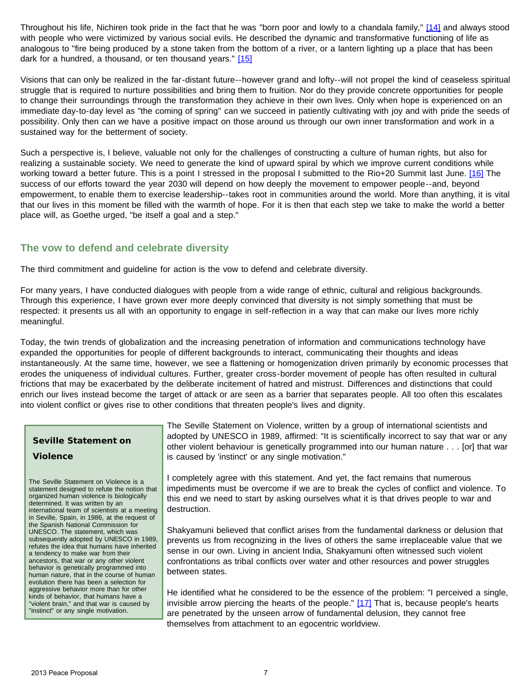Throughout his life, Nichiren took pride in the fact that he was "born poor and lowly to a chandala family," [14] and always stood with people who were victimized by various social evils. He described the dynamic and transformative functioning of life as analogous to "fire being produced by a stone taken from the bottom of a river, or a lantern lighting up a place that has been dark for a hundred, a thousand, or ten thousand years." [15]

Visions that can only be realized in the far-distant future--however grand and lofty--will not propel the kind of ceaseless spiritual struggle that is required to nurture possibilities and bring them to fruition. Nor do they provide concrete opportunities for people to change their surroundings through the transformation they achieve in their own lives. Only when hope is experienced on an immediate day-to-day level as "the coming of spring" can we succeed in patiently cultivating with joy and with pride the seeds of possibility. Only then can we have a positive impact on those around us through our own inner transformation and work in a sustained way for the betterment of society.

Such a perspective is, I believe, valuable not only for the challenges of constructing a culture of human rights, but also for realizing a sustainable society. We need to generate the kind of upward spiral by which we improve current conditions while working toward a better future. This is a point I stressed in the proposal I submitted to the Rio+20 Summit last June. [16] The success of our efforts toward the year 2030 will depend on how deeply the movement to empower people--and, beyond empowerment, to enable them to exercise leadership--takes root in communities around the world. More than anything, it is vital that our lives in this moment be filled with the warmth of hope. For it is then that each step we take to make the world a better place will, as Goethe urged, "be itself a goal and a step."

# **The vow to defend and celebrate diversity**

The third commitment and guideline for action is the vow to defend and celebrate diversity.

For many years, I have conducted dialogues with people from a wide range of ethnic, cultural and religious backgrounds. Through this experience, I have grown ever more deeply convinced that diversity is not simply something that must be respected: it presents us all with an opportunity to engage in self-reflection in a way that can make our lives more richly meaningful.

Today, the twin trends of globalization and the increasing penetration of information and communications technology have expanded the opportunities for people of different backgrounds to interact, communicating their thoughts and ideas instantaneously. At the same time, however, we see a flattening or homogenization driven primarily by economic processes that erodes the uniqueness of individual cultures. Further, greater cross-border movement of people has often resulted in cultural frictions that may be exacerbated by the deliberate incitement of hatred and mistrust. Differences and distinctions that could enrich our lives instead become the target of attack or are seen as a barrier that separates people. All too often this escalates into violent conflict or gives rise to other conditions that threaten people's lives and dignity.

# **Seville Statement on Violence**

The Seville Statement on Violence is a statement designed to refute the notion that organized human violence is biologically determined. It was written by an international team of scientists at a meeting in Seville, Spain, in 1986, at the request of the Spanish National Commission for UNESCO. The statement, which was subsequently adopted by UNESCO in 1989, refutes the idea that humans have inherited a tendency to make war from their ancestors, that war or any other violent behavior is genetically programmed into human nature, that in the course of human evolution there has been a selection for aggressive behavior more than for other kinds of behavior, that humans have a "violent brain," and that war is caused by "instinct" or any single motivation.

The Seville Statement on Violence, written by a group of international scientists and adopted by UNESCO in 1989, affirmed: "It is scientifically incorrect to say that war or any other violent behaviour is genetically programmed into our human nature . . . [or] that war is caused by 'instinct' or any single motivation."

I completely agree with this statement. And yet, the fact remains that numerous impediments must be overcome if we are to break the cycles of conflict and violence. To this end we need to start by asking ourselves what it is that drives people to war and destruction.

Shakyamuni believed that conflict arises from the fundamental darkness or delusion that prevents us from recognizing in the lives of others the same irreplaceable value that we sense in our own. Living in ancient India, Shakyamuni often witnessed such violent confrontations as tribal conflicts over water and other resources and power struggles between states.

He identified what he considered to be the essence of the problem: "I perceived a single, invisible arrow piercing the hearts of the people."  $[17]$  That is, because people's hearts are penetrated by the unseen arrow of fundamental delusion, they cannot free themselves from attachment to an egocentric worldview.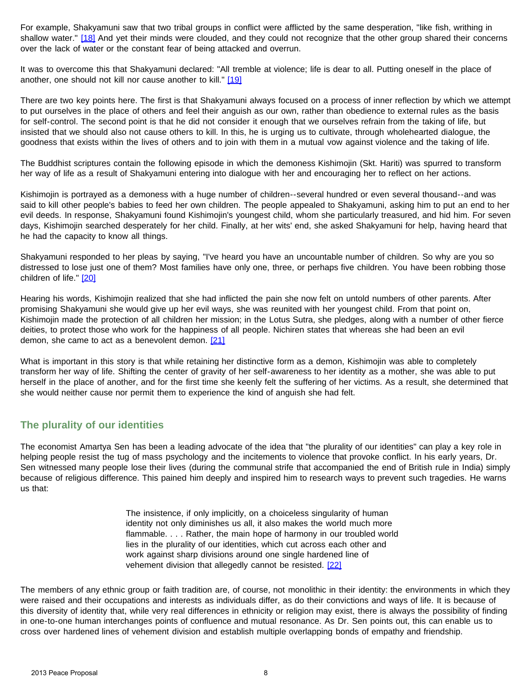For example, Shakyamuni saw that two tribal groups in conflict were afflicted by the same desperation, "like fish, writhing in shallow water." [18] And yet their minds were clouded, and they could not recognize that the other group shared their concerns over the lack of water or the constant fear of being attacked and overrun.

It was to overcome this that Shakyamuni declared: "All tremble at violence; life is dear to all. Putting oneself in the place of another, one should not kill nor cause another to kill." [19]

There are two key points here. The first is that Shakyamuni always focused on a process of inner reflection by which we attempt to put ourselves in the place of others and feel their anguish as our own, rather than obedience to external rules as the basis for self-control. The second point is that he did not consider it enough that we ourselves refrain from the taking of life, but insisted that we should also not cause others to kill. In this, he is urging us to cultivate, through wholehearted dialogue, the goodness that exists within the lives of others and to join with them in a mutual vow against violence and the taking of life.

The Buddhist scriptures contain the following episode in which the demoness Kishimojin (Skt. Hariti) was spurred to transform her way of life as a result of Shakyamuni entering into dialogue with her and encouraging her to reflect on her actions.

Kishimojin is portrayed as a demoness with a huge number of children--several hundred or even several thousand--and was said to kill other people's babies to feed her own children. The people appealed to Shakyamuni, asking him to put an end to her evil deeds. In response, Shakyamuni found Kishimojin's youngest child, whom she particularly treasured, and hid him. For seven days, Kishimojin searched desperately for her child. Finally, at her wits' end, she asked Shakyamuni for help, having heard that he had the capacity to know all things.

Shakyamuni responded to her pleas by saying, "I've heard you have an uncountable number of children. So why are you so distressed to lose just one of them? Most families have only one, three, or perhaps five children. You have been robbing those children of life." [20]

Hearing his words, Kishimojin realized that she had inflicted the pain she now felt on untold numbers of other parents. After promising Shakyamuni she would give up her evil ways, she was reunited with her youngest child. From that point on, Kishimojin made the protection of all children her mission; in the Lotus Sutra, she pledges, along with a number of other fierce deities, to protect those who work for the happiness of all people. Nichiren states that whereas she had been an evil demon, she came to act as a benevolent demon. [21]

What is important in this story is that while retaining her distinctive form as a demon, Kishimojin was able to completely transform her way of life. Shifting the center of gravity of her self-awareness to her identity as a mother, she was able to put herself in the place of another, and for the first time she keenly felt the suffering of her victims. As a result, she determined that she would neither cause nor permit them to experience the kind of anguish she had felt.

## **The plurality of our identities**

The economist Amartya Sen has been a leading advocate of the idea that "the plurality of our identities" can play a key role in helping people resist the tug of mass psychology and the incitements to violence that provoke conflict. In his early years, Dr. Sen witnessed many people lose their lives (during the communal strife that accompanied the end of British rule in India) simply because of religious difference. This pained him deeply and inspired him to research ways to prevent such tragedies. He warns us that:

> The insistence, if only implicitly, on a choiceless singularity of human identity not only diminishes us all, it also makes the world much more flammable. . . . Rather, the main hope of harmony in our troubled world lies in the plurality of our identities, which cut across each other and work against sharp divisions around one single hardened line of vehement division that allegedly cannot be resisted. [22]

The members of any ethnic group or faith tradition are, of course, not monolithic in their identity: the environments in which they were raised and their occupations and interests as individuals differ, as do their convictions and ways of life. It is because of this diversity of identity that, while very real differences in ethnicity or religion may exist, there is always the possibility of finding in one-to-one human interchanges points of confluence and mutual resonance. As Dr. Sen points out, this can enable us to cross over hardened lines of vehement division and establish multiple overlapping bonds of empathy and friendship.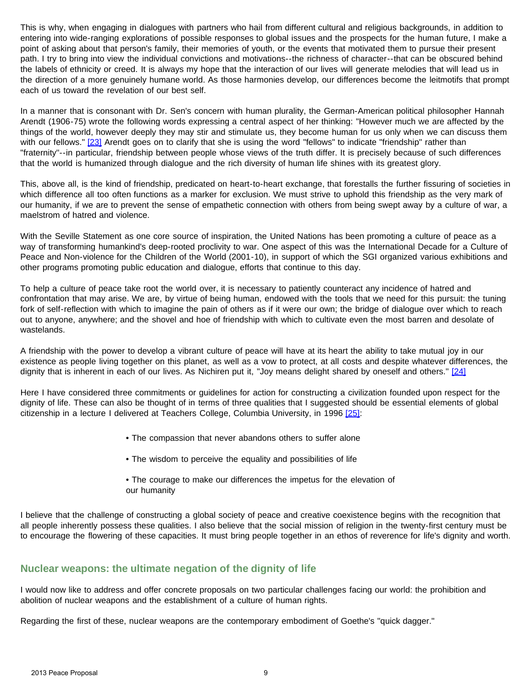This is why, when engaging in dialogues with partners who hail from different cultural and religious backgrounds, in addition to entering into wide-ranging explorations of possible responses to global issues and the prospects for the human future, I make a point of asking about that person's family, their memories of youth, or the events that motivated them to pursue their present path. I try to bring into view the individual convictions and motivations--the richness of character--that can be obscured behind the labels of ethnicity or creed. It is always my hope that the interaction of our lives will generate melodies that will lead us in the direction of a more genuinely humane world. As those harmonies develop, our differences become the leitmotifs that prompt each of us toward the revelation of our best self.

In a manner that is consonant with Dr. Sen's concern with human plurality, the German-American political philosopher Hannah Arendt (1906-75) wrote the following words expressing a central aspect of her thinking: "However much we are affected by the things of the world, however deeply they may stir and stimulate us, they become human for us only when we can discuss them with our fellows." [23] Arendt goes on to clarify that she is using the word "fellows" to indicate "friendship" rather than "fraternity"--in particular, friendship between people whose views of the truth differ. It is precisely because of such differences that the world is humanized through dialogue and the rich diversity of human life shines with its greatest glory.

This, above all, is the kind of friendship, predicated on heart-to-heart exchange, that forestalls the further fissuring of societies in which difference all too often functions as a marker for exclusion. We must strive to uphold this friendship as the very mark of our humanity, if we are to prevent the sense of empathetic connection with others from being swept away by a culture of war, a maelstrom of hatred and violence.

With the Seville Statement as one core source of inspiration, the United Nations has been promoting a culture of peace as a way of transforming humankind's deep-rooted proclivity to war. One aspect of this was the International Decade for a Culture of Peace and Non-violence for the Children of the World (2001-10), in support of which the SGI organized various exhibitions and other programs promoting public education and dialogue, efforts that continue to this day.

To help a culture of peace take root the world over, it is necessary to patiently counteract any incidence of hatred and confrontation that may arise. We are, by virtue of being human, endowed with the tools that we need for this pursuit: the tuning fork of self-reflection with which to imagine the pain of others as if it were our own; the bridge of dialogue over which to reach out to anyone, anywhere; and the shovel and hoe of friendship with which to cultivate even the most barren and desolate of wastelands.

A friendship with the power to develop a vibrant culture of peace will have at its heart the ability to take mutual joy in our existence as people living together on this planet, as well as a vow to protect, at all costs and despite whatever differences, the dignity that is inherent in each of our lives. As Nichiren put it, "Joy means delight shared by oneself and others." [24]

Here I have considered three commitments or guidelines for action for constructing a civilization founded upon respect for the dignity of life. These can also be thought of in terms of three qualities that I suggested should be essential elements of global citizenship in a lecture I delivered at Teachers College, Columbia University, in 1996 [25]:

- The compassion that never abandons others to suffer alone
- The wisdom to perceive the equality and possibilities of life
- The courage to make our differences the impetus for the elevation of our humanity

I believe that the challenge of constructing a global society of peace and creative coexistence begins with the recognition that all people inherently possess these qualities. I also believe that the social mission of religion in the twenty-first century must be to encourage the flowering of these capacities. It must bring people together in an ethos of reverence for life's dignity and worth.

## **Nuclear weapons: the ultimate negation of the dignity of life**

I would now like to address and offer concrete proposals on two particular challenges facing our world: the prohibition and abolition of nuclear weapons and the establishment of a culture of human rights.

Regarding the first of these, nuclear weapons are the contemporary embodiment of Goethe's "quick dagger."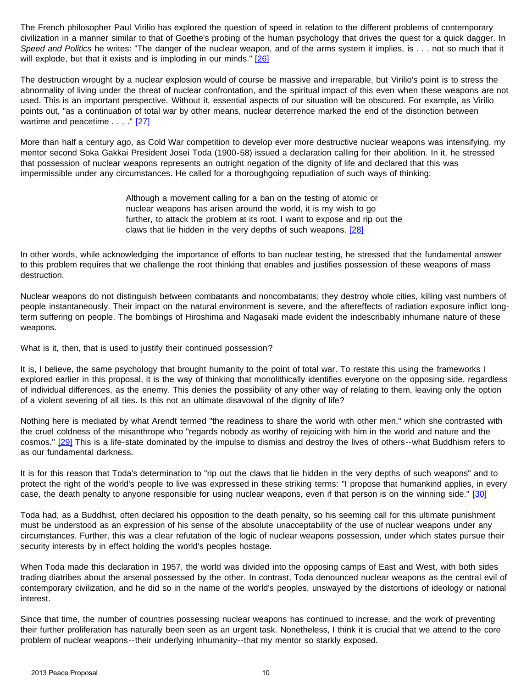The French philosopher Paul Virilio has explored the question of speed in relation to the different problems of contemporary civilization in a manner similar to that of Goethe's probing of the human psychology that drives the quest for a quick dagger. In *Speed and Politics* he writes: "The danger of the nuclear weapon, and of the arms system it implies, is . . . not so much that it will explode, but that it exists and is imploding in our minds." [26]

The destruction wrought by a nuclear explosion would of course be massive and irreparable, but Virilio's point is to stress the abnormality of living under the threat of nuclear confrontation, and the spiritual impact of this even when these weapons are not used. This is an important perspective. Without it, essential aspects of our situation will be obscured. For example, as Virilio points out, "as a continuation of total war by other means, nuclear deterrence marked the end of the distinction between wartime and peacetime . . . . " [27]

More than half a century ago, as Cold War competition to develop ever more destructive nuclear weapons was intensifying, my mentor second Soka Gakkai President Josei Toda (1900-58) issued a declaration calling for their abolition. In it, he stressed that possession of nuclear weapons represents an outright negation of the dignity of life and declared that this was impermissible under any circumstances. He called for a thoroughgoing repudiation of such ways of thinking:

> Although a movement calling for a ban on the testing of atomic or nuclear weapons has arisen around the world, it is my wish to go further, to attack the problem at its root. I want to expose and rip out the claws that lie hidden in the very depths of such weapons. [28]

In other words, while acknowledging the importance of efforts to ban nuclear testing, he stressed that the fundamental answer to this problem requires that we challenge the root thinking that enables and justifies possession of these weapons of mass destruction.

Nuclear weapons do not distinguish between combatants and noncombatants; they destroy whole cities, killing vast numbers of people instantaneously. Their impact on the natural environment is severe, and the aftereffects of radiation exposure inflict longterm suffering on people. The bombings of Hiroshima and Nagasaki made evident the indescribably inhumane nature of these weapons.

What is it, then, that is used to justify their continued possession?

It is, I believe, the same psychology that brought humanity to the point of total war. To restate this using the frameworks I explored earlier in this proposal, it is the way of thinking that monolithically identifies everyone on the opposing side, regardless of individual differences, as the enemy. This denies the possibility of any other way of relating to them, leaving only the option of a violent severing of all ties. Is this not an ultimate disavowal of the dignity of life?

Nothing here is mediated by what Arendt termed "the readiness to share the world with other men," which she contrasted with the cruel coldness of the misanthrope who "regards nobody as worthy of rejoicing with him in the world and nature and the cosmos." [29] This is a life-state dominated by the impulse to dismiss and destroy the lives of others--what Buddhism refers to as our fundamental darkness.

It is for this reason that Toda's determination to "rip out the claws that lie hidden in the very depths of such weapons" and to protect the right of the world's people to live was expressed in these striking terms: "I propose that humankind applies, in every case, the death penalty to anyone responsible for using nuclear weapons, even if that person is on the winning side." [30]

Toda had, as a Buddhist, often declared his opposition to the death penalty, so his seeming call for this ultimate punishment must be understood as an expression of his sense of the absolute unacceptability of the use of nuclear weapons under any circumstances. Further, this was a clear refutation of the logic of nuclear weapons possession, under which states pursue their security interests by in effect holding the world's peoples hostage.

When Toda made this declaration in 1957, the world was divided into the opposing camps of East and West, with both sides trading diatribes about the arsenal possessed by the other. In contrast, Toda denounced nuclear weapons as the central evil of contemporary civilization, and he did so in the name of the world's peoples, unswayed by the distortions of ideology or national interest.

Since that time, the number of countries possessing nuclear weapons has continued to increase, and the work of preventing their further proliferation has naturally been seen as an urgent task. Nonetheless, I think it is crucial that we attend to the core problem of nuclear weapons--their underlying inhumanity--that my mentor so starkly exposed.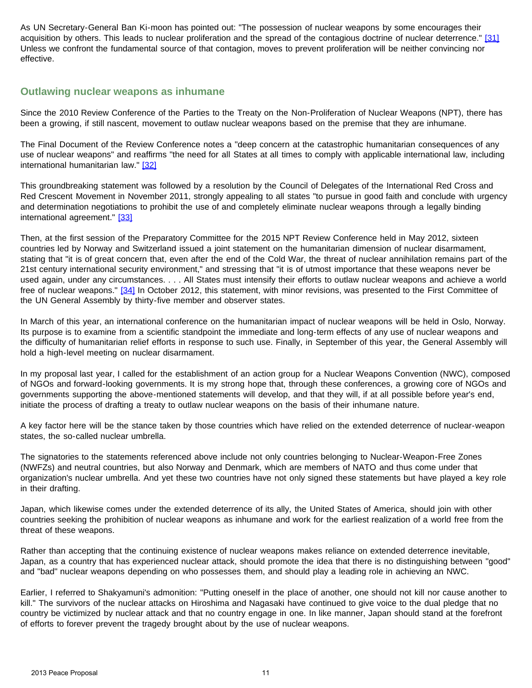As UN Secretary-General Ban Ki-moon has pointed out: "The possession of nuclear weapons by some encourages their acquisition by others. This leads to nuclear proliferation and the spread of the contagious doctrine of nuclear deterrence." [31] Unless we confront the fundamental source of that contagion, moves to prevent proliferation will be neither convincing nor effective.

#### **Outlawing nuclear weapons as inhumane**

Since the 2010 Review Conference of the Parties to the Treaty on the Non-Proliferation of Nuclear Weapons (NPT), there has been a growing, if still nascent, movement to outlaw nuclear weapons based on the premise that they are inhumane.

The Final Document of the Review Conference notes a "deep concern at the catastrophic humanitarian consequences of any use of nuclear weapons" and reaffirms "the need for all States at all times to comply with applicable international law, including international humanitarian law." [32]

This groundbreaking statement was followed by a resolution by the Council of Delegates of the International Red Cross and Red Crescent Movement in November 2011, strongly appealing to all states "to pursue in good faith and conclude with urgency and determination negotiations to prohibit the use of and completely eliminate nuclear weapons through a legally binding international agreement." [33]

Then, at the first session of the Preparatory Committee for the 2015 NPT Review Conference held in May 2012, sixteen countries led by Norway and Switzerland issued a joint statement on the humanitarian dimension of nuclear disarmament, stating that "it is of great concern that, even after the end of the Cold War, the threat of nuclear annihilation remains part of the 21st century international security environment," and stressing that "it is of utmost importance that these weapons never be used again, under any circumstances. . . . All States must intensify their efforts to outlaw nuclear weapons and achieve a world free of nuclear weapons." [34] In October 2012, this statement, with minor revisions, was presented to the First Committee of the UN General Assembly by thirty-five member and observer states.

In March of this year, an international conference on the humanitarian impact of nuclear weapons will be held in Oslo, Norway. Its purpose is to examine from a scientific standpoint the immediate and long-term effects of any use of nuclear weapons and the difficulty of humanitarian relief efforts in response to such use. Finally, in September of this year, the General Assembly will hold a high-level meeting on nuclear disarmament.

In my proposal last year, I called for the establishment of an action group for a Nuclear Weapons Convention (NWC), composed of NGOs and forward-looking governments. It is my strong hope that, through these conferences, a growing core of NGOs and governments supporting the above-mentioned statements will develop, and that they will, if at all possible before year's end, initiate the process of drafting a treaty to outlaw nuclear weapons on the basis of their inhumane nature.

A key factor here will be the stance taken by those countries which have relied on the extended deterrence of nuclear-weapon states, the so-called nuclear umbrella.

The signatories to the statements referenced above include not only countries belonging to Nuclear-Weapon-Free Zones (NWFZs) and neutral countries, but also Norway and Denmark, which are members of NATO and thus come under that organization's nuclear umbrella. And yet these two countries have not only signed these statements but have played a key role in their drafting.

Japan, which likewise comes under the extended deterrence of its ally, the United States of America, should join with other countries seeking the prohibition of nuclear weapons as inhumane and work for the earliest realization of a world free from the threat of these weapons.

Rather than accepting that the continuing existence of nuclear weapons makes reliance on extended deterrence inevitable, Japan, as a country that has experienced nuclear attack, should promote the idea that there is no distinguishing between "good" and "bad" nuclear weapons depending on who possesses them, and should play a leading role in achieving an NWC.

Earlier, I referred to Shakyamuni's admonition: "Putting oneself in the place of another, one should not kill nor cause another to kill." The survivors of the nuclear attacks on Hiroshima and Nagasaki have continued to give voice to the dual pledge that no country be victimized by nuclear attack and that no country engage in one. In like manner, Japan should stand at the forefront of efforts to forever prevent the tragedy brought about by the use of nuclear weapons.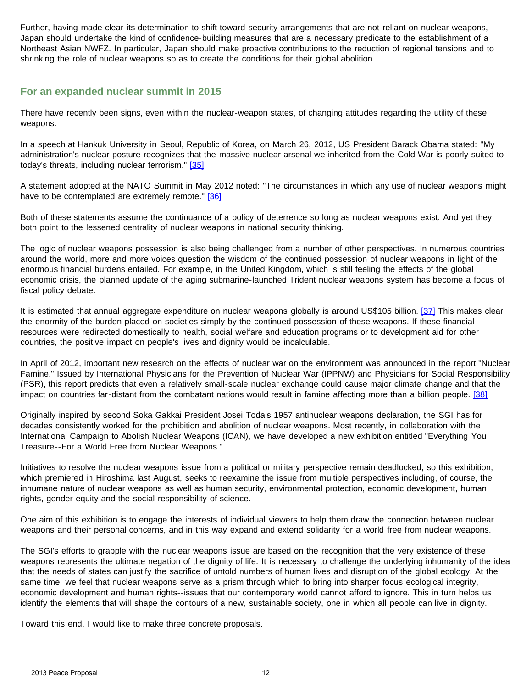Further, having made clear its determination to shift toward security arrangements that are not reliant on nuclear weapons, Japan should undertake the kind of confidence-building measures that are a necessary predicate to the establishment of a Northeast Asian NWFZ. In particular, Japan should make proactive contributions to the reduction of regional tensions and to shrinking the role of nuclear weapons so as to create the conditions for their global abolition.

# **For an expanded nuclear summit in 2015**

There have recently been signs, even within the nuclear-weapon states, of changing attitudes regarding the utility of these weapons.

In a speech at Hankuk University in Seoul, Republic of Korea, on March 26, 2012, US President Barack Obama stated: "My administration's nuclear posture recognizes that the massive nuclear arsenal we inherited from the Cold War is poorly suited to today's threats, including nuclear terrorism." [35]

A statement adopted at the NATO Summit in May 2012 noted: "The circumstances in which any use of nuclear weapons might have to be contemplated are extremely remote." [36]

Both of these statements assume the continuance of a policy of deterrence so long as nuclear weapons exist. And yet they both point to the lessened centrality of nuclear weapons in national security thinking.

The logic of nuclear weapons possession is also being challenged from a number of other perspectives. In numerous countries around the world, more and more voices question the wisdom of the continued possession of nuclear weapons in light of the enormous financial burdens entailed. For example, in the United Kingdom, which is still feeling the effects of the global economic crisis, the planned update of the aging submarine-launched Trident nuclear weapons system has become a focus of fiscal policy debate.

It is estimated that annual aggregate expenditure on nuclear weapons globally is around US\$105 billion. [37] This makes clear the enormity of the burden placed on societies simply by the continued possession of these weapons. If these financial resources were redirected domestically to health, social welfare and education programs or to development aid for other countries, the positive impact on people's lives and dignity would be incalculable.

In April of 2012, important new research on the effects of nuclear war on the environment was announced in the report "Nuclear Famine." Issued by International Physicians for the Prevention of Nuclear War (IPPNW) and Physicians for Social Responsibility (PSR), this report predicts that even a relatively small-scale nuclear exchange could cause major climate change and that the impact on countries far-distant from the combatant nations would result in famine affecting more than a billion people. [38]

Originally inspired by second Soka Gakkai President Josei Toda's 1957 antinuclear weapons declaration, the SGI has for decades consistently worked for the prohibition and abolition of nuclear weapons. Most recently, in collaboration with the International Campaign to Abolish Nuclear Weapons (ICAN), we have developed a new exhibition entitled "Everything You Treasure--For a World Free from Nuclear Weapons."

Initiatives to resolve the nuclear weapons issue from a political or military perspective remain deadlocked, so this exhibition, which premiered in Hiroshima last August, seeks to reexamine the issue from multiple perspectives including, of course, the inhumane nature of nuclear weapons as well as human security, environmental protection, economic development, human rights, gender equity and the social responsibility of science.

One aim of this exhibition is to engage the interests of individual viewers to help them draw the connection between nuclear weapons and their personal concerns, and in this way expand and extend solidarity for a world free from nuclear weapons.

The SGI's efforts to grapple with the nuclear weapons issue are based on the recognition that the very existence of these weapons represents the ultimate negation of the dignity of life. It is necessary to challenge the underlying inhumanity of the idea that the needs of states can justify the sacrifice of untold numbers of human lives and disruption of the global ecology. At the same time, we feel that nuclear weapons serve as a prism through which to bring into sharper focus ecological integrity, economic development and human rights--issues that our contemporary world cannot afford to ignore. This in turn helps us identify the elements that will shape the contours of a new, sustainable society, one in which all people can live in dignity.

Toward this end, I would like to make three concrete proposals.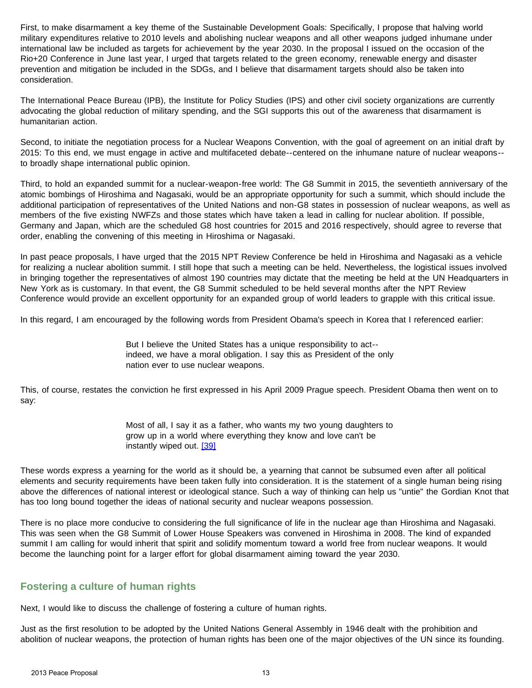First, to make disarmament a key theme of the Sustainable Development Goals: Specifically, I propose that halving world military expenditures relative to 2010 levels and abolishing nuclear weapons and all other weapons judged inhumane under international law be included as targets for achievement by the year 2030. In the proposal I issued on the occasion of the Rio+20 Conference in June last year, I urged that targets related to the green economy, renewable energy and disaster prevention and mitigation be included in the SDGs, and I believe that disarmament targets should also be taken into consideration.

The International Peace Bureau (IPB), the Institute for Policy Studies (IPS) and other civil society organizations are currently advocating the global reduction of military spending, and the SGI supports this out of the awareness that disarmament is humanitarian action.

Second, to initiate the negotiation process for a Nuclear Weapons Convention, with the goal of agreement on an initial draft by 2015: To this end, we must engage in active and multifaceted debate--centered on the inhumane nature of nuclear weapons- to broadly shape international public opinion.

Third, to hold an expanded summit for a nuclear-weapon-free world: The G8 Summit in 2015, the seventieth anniversary of the atomic bombings of Hiroshima and Nagasaki, would be an appropriate opportunity for such a summit, which should include the additional participation of representatives of the United Nations and non-G8 states in possession of nuclear weapons, as well as members of the five existing NWFZs and those states which have taken a lead in calling for nuclear abolition. If possible, Germany and Japan, which are the scheduled G8 host countries for 2015 and 2016 respectively, should agree to reverse that order, enabling the convening of this meeting in Hiroshima or Nagasaki.

In past peace proposals, I have urged that the 2015 NPT Review Conference be held in Hiroshima and Nagasaki as a vehicle for realizing a nuclear abolition summit. I still hope that such a meeting can be held. Nevertheless, the logistical issues involved in bringing together the representatives of almost 190 countries may dictate that the meeting be held at the UN Headquarters in New York as is customary. In that event, the G8 Summit scheduled to be held several months after the NPT Review Conference would provide an excellent opportunity for an expanded group of world leaders to grapple with this critical issue.

In this regard, I am encouraged by the following words from President Obama's speech in Korea that I referenced earlier:

But I believe the United States has a unique responsibility to act- indeed, we have a moral obligation. I say this as President of the only nation ever to use nuclear weapons.

This, of course, restates the conviction he first expressed in his April 2009 Prague speech. President Obama then went on to say:

> Most of all, I say it as a father, who wants my two young daughters to grow up in a world where everything they know and love can't be instantly wiped out. [39]

These words express a yearning for the world as it should be, a yearning that cannot be subsumed even after all political elements and security requirements have been taken fully into consideration. It is the statement of a single human being rising above the differences of national interest or ideological stance. Such a way of thinking can help us "untie" the Gordian Knot that has too long bound together the ideas of national security and nuclear weapons possession.

There is no place more conducive to considering the full significance of life in the nuclear age than Hiroshima and Nagasaki. This was seen when the G8 Summit of Lower House Speakers was convened in Hiroshima in 2008. The kind of expanded summit I am calling for would inherit that spirit and solidify momentum toward a world free from nuclear weapons. It would become the launching point for a larger effort for global disarmament aiming toward the year 2030.

## **Fostering a culture of human rights**

Next, I would like to discuss the challenge of fostering a culture of human rights.

Just as the first resolution to be adopted by the United Nations General Assembly in 1946 dealt with the prohibition and abolition of nuclear weapons, the protection of human rights has been one of the major objectives of the UN since its founding.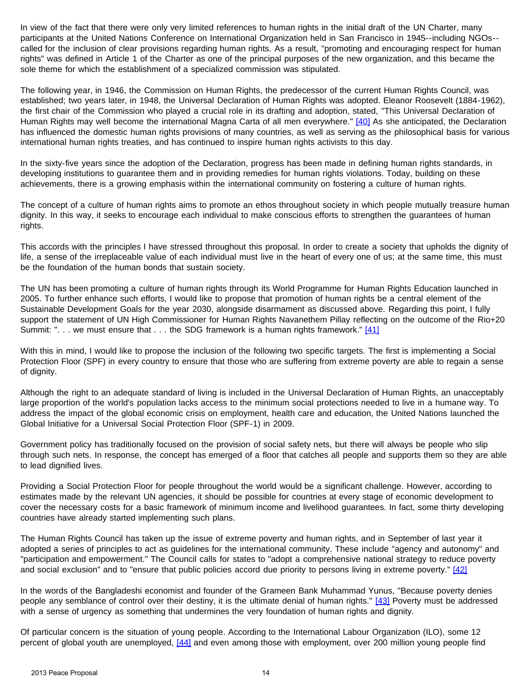In view of the fact that there were only very limited references to human rights in the initial draft of the UN Charter, many participants at the United Nations Conference on International Organization held in San Francisco in 1945--including NGOs- called for the inclusion of clear provisions regarding human rights. As a result, "promoting and encouraging respect for human rights" was defined in Article 1 of the Charter as one of the principal purposes of the new organization, and this became the sole theme for which the establishment of a specialized commission was stipulated.

The following year, in 1946, the Commission on Human Rights, the predecessor of the current Human Rights Council, was established; two years later, in 1948, the Universal Declaration of Human Rights was adopted. Eleanor Roosevelt (1884-1962), the first chair of the Commission who played a crucial role in its drafting and adoption, stated, "This Universal Declaration of Human Rights may well become the international Magna Carta of all men everywhere." [40] As she anticipated, the Declaration has influenced the domestic human rights provisions of many countries, as well as serving as the philosophical basis for various international human rights treaties, and has continued to inspire human rights activists to this day.

In the sixty-five years since the adoption of the Declaration, progress has been made in defining human rights standards, in developing institutions to guarantee them and in providing remedies for human rights violations. Today, building on these achievements, there is a growing emphasis within the international community on fostering a culture of human rights.

The concept of a culture of human rights aims to promote an ethos throughout society in which people mutually treasure human dignity. In this way, it seeks to encourage each individual to make conscious efforts to strengthen the guarantees of human rights.

This accords with the principles I have stressed throughout this proposal. In order to create a society that upholds the dignity of life, a sense of the irreplaceable value of each individual must live in the heart of every one of us; at the same time, this must be the foundation of the human bonds that sustain society.

The UN has been promoting a culture of human rights through its World Programme for Human Rights Education launched in 2005. To further enhance such efforts, I would like to propose that promotion of human rights be a central element of the Sustainable Development Goals for the year 2030, alongside disarmament as discussed above. Regarding this point, I fully support the statement of UN High Commissioner for Human Rights Navanethem Pillay reflecting on the outcome of the Rio+20 Summit: ". . . we must ensure that . . . the SDG framework is a human rights framework." [41]

With this in mind, I would like to propose the inclusion of the following two specific targets. The first is implementing a Social Protection Floor (SPF) in every country to ensure that those who are suffering from extreme poverty are able to regain a sense of dignity.

Although the right to an adequate standard of living is included in the Universal Declaration of Human Rights, an unacceptably large proportion of the world's population lacks access to the minimum social protections needed to live in a humane way. To address the impact of the global economic crisis on employment, health care and education, the United Nations launched the Global Initiative for a Universal Social Protection Floor (SPF-1) in 2009.

Government policy has traditionally focused on the provision of social safety nets, but there will always be people who slip through such nets. In response, the concept has emerged of a floor that catches all people and supports them so they are able to lead dignified lives.

Providing a Social Protection Floor for people throughout the world would be a significant challenge. However, according to estimates made by the relevant UN agencies, it should be possible for countries at every stage of economic development to cover the necessary costs for a basic framework of minimum income and livelihood guarantees. In fact, some thirty developing countries have already started implementing such plans.

The Human Rights Council has taken up the issue of extreme poverty and human rights, and in September of last year it adopted a series of principles to act as guidelines for the international community. These include "agency and autonomy" and "participation and empowerment." The Council calls for states to "adopt a comprehensive national strategy to reduce poverty and social exclusion" and to "ensure that public policies accord due priority to persons living in extreme poverty." [42]

In the words of the Bangladeshi economist and founder of the Grameen Bank Muhammad Yunus, "Because poverty denies people any semblance of control over their destiny, it is the ultimate denial of human rights." [43] Poverty must be addressed with a sense of urgency as something that undermines the very foundation of human rights and dignity.

Of particular concern is the situation of young people. According to the International Labour Organization (ILO), some 12 percent of global youth are unemployed,  $[44]$  and even among those with employment, over 200 million young people find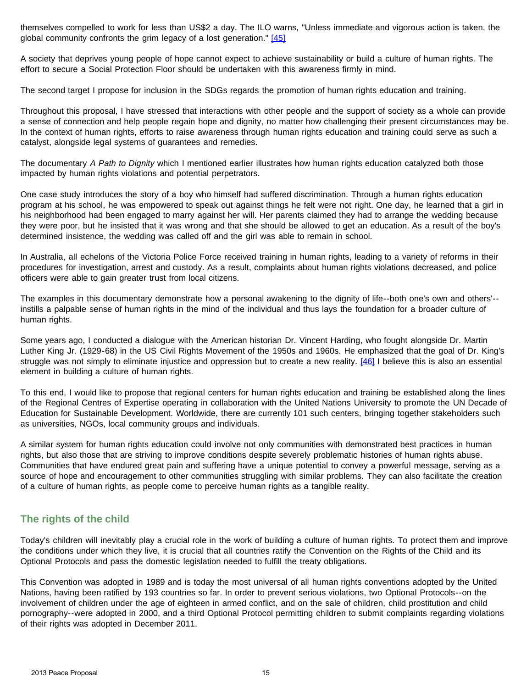themselves compelled to work for less than US\$2 a day. The ILO warns, "Unless immediate and vigorous action is taken, the global community confronts the grim legacy of a lost generation." [45]

A society that deprives young people of hope cannot expect to achieve sustainability or build a culture of human rights. The effort to secure a Social Protection Floor should be undertaken with this awareness firmly in mind.

The second target I propose for inclusion in the SDGs regards the promotion of human rights education and training.

Throughout this proposal, I have stressed that interactions with other people and the support of society as a whole can provide a sense of connection and help people regain hope and dignity, no matter how challenging their present circumstances may be. In the context of human rights, efforts to raise awareness through human rights education and training could serve as such a catalyst, alongside legal systems of guarantees and remedies.

The documentary *A Path to Dignity* which I mentioned earlier illustrates how human rights education catalyzed both those impacted by human rights violations and potential perpetrators.

One case study introduces the story of a boy who himself had suffered discrimination. Through a human rights education program at his school, he was empowered to speak out against things he felt were not right. One day, he learned that a girl in his neighborhood had been engaged to marry against her will. Her parents claimed they had to arrange the wedding because they were poor, but he insisted that it was wrong and that she should be allowed to get an education. As a result of the boy's determined insistence, the wedding was called off and the girl was able to remain in school.

In Australia, all echelons of the Victoria Police Force received training in human rights, leading to a variety of reforms in their procedures for investigation, arrest and custody. As a result, complaints about human rights violations decreased, and police officers were able to gain greater trust from local citizens.

The examples in this documentary demonstrate how a personal awakening to the dignity of life--both one's own and others'- instills a palpable sense of human rights in the mind of the individual and thus lays the foundation for a broader culture of human rights.

Some years ago, I conducted a dialogue with the American historian Dr. Vincent Harding, who fought alongside Dr. Martin Luther King Jr. (1929-68) in the US Civil Rights Movement of the 1950s and 1960s. He emphasized that the goal of Dr. King's struggle was not simply to eliminate injustice and oppression but to create a new reality. [46] I believe this is also an essential element in building a culture of human rights.

To this end, I would like to propose that regional centers for human rights education and training be established along the lines of the Regional Centres of Expertise operating in collaboration with the United Nations University to promote the UN Decade of Education for Sustainable Development. Worldwide, there are currently 101 such centers, bringing together stakeholders such as universities, NGOs, local community groups and individuals.

A similar system for human rights education could involve not only communities with demonstrated best practices in human rights, but also those that are striving to improve conditions despite severely problematic histories of human rights abuse. Communities that have endured great pain and suffering have a unique potential to convey a powerful message, serving as a source of hope and encouragement to other communities struggling with similar problems. They can also facilitate the creation of a culture of human rights, as people come to perceive human rights as a tangible reality.

## **The rights of the child**

Today's children will inevitably play a crucial role in the work of building a culture of human rights. To protect them and improve the conditions under which they live, it is crucial that all countries ratify the Convention on the Rights of the Child and its Optional Protocols and pass the domestic legislation needed to fulfill the treaty obligations.

This Convention was adopted in 1989 and is today the most universal of all human rights conventions adopted by the United Nations, having been ratified by 193 countries so far. In order to prevent serious violations, two Optional Protocols--on the involvement of children under the age of eighteen in armed conflict, and on the sale of children, child prostitution and child pornography--were adopted in 2000, and a third Optional Protocol permitting children to submit complaints regarding violations of their rights was adopted in December 2011.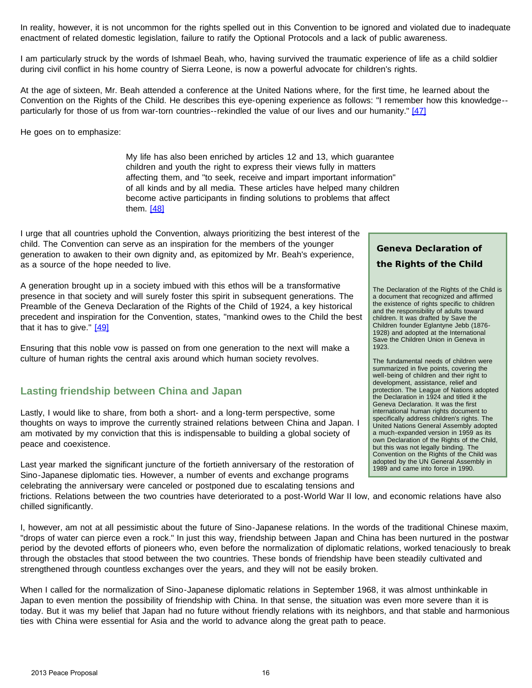In reality, however, it is not uncommon for the rights spelled out in this Convention to be ignored and violated due to inadequate enactment of related domestic legislation, failure to ratify the Optional Protocols and a lack of public awareness.

I am particularly struck by the words of Ishmael Beah, who, having survived the traumatic experience of life as a child soldier during civil conflict in his home country of Sierra Leone, is now a powerful advocate for children's rights.

At the age of sixteen, Mr. Beah attended a conference at the United Nations where, for the first time, he learned about the Convention on the Rights of the Child. He describes this eye-opening experience as follows: "I remember how this knowledge- particularly for those of us from war-torn countries--rekindled the value of our lives and our humanity." [47]

He goes on to emphasize:

My life has also been enriched by articles 12 and 13, which guarantee children and youth the right to express their views fully in matters affecting them, and "to seek, receive and impart important information" of all kinds and by all media. These articles have helped many children become active participants in finding solutions to problems that affect them. [48]

I urge that all countries uphold the Convention, always prioritizing the best interest of the child. The Convention can serve as an inspiration for the members of the younger generation to awaken to their own dignity and, as epitomized by Mr. Beah's experience, as a source of the hope needed to live.

A generation brought up in a society imbued with this ethos will be a transformative presence in that society and will surely foster this spirit in subsequent generations. The Preamble of the Geneva Declaration of the Rights of the Child of 1924, a key historical precedent and inspiration for the Convention, states, "mankind owes to the Child the best that it has to give."  $[49]$ 

Ensuring that this noble vow is passed on from one generation to the next will make a culture of human rights the central axis around which human society revolves.

## **Lasting friendship between China and Japan**

Lastly, I would like to share, from both a short- and a long-term perspective, some thoughts on ways to improve the currently strained relations between China and Japan. I am motivated by my conviction that this is indispensable to building a global society of peace and coexistence.

Last year marked the significant juncture of the fortieth anniversary of the restoration of Sino-Japanese diplomatic ties. However, a number of events and exchange programs celebrating the anniversary were canceled or postponed due to escalating tensions and

# **Geneva Declaration of the Rights of the Child**

The Declaration of the Rights of the Child is a document that recognized and affirmed the existence of rights specific to children and the responsibility of adults toward children. It was drafted by Save the Children founder Eglantyne Jebb (1876- 1928) and adopted at the International Save the Children Union in Geneva in 1923.

The fundamental needs of children were summarized in five points, covering the well-being of children and their right to development, assistance, relief and protection. The League of Nations adopted the Declaration in 1924 and titled it the Geneva Declaration. It was the first international human rights document to specifically address children's rights. The United Nations General Assembly adopted a much-expanded version in 1959 as its own Declaration of the Rights of the Child, but this was not legally binding. The Convention on the Rights of the Child was adopted by the UN General Assembly in 1989 and came into force in 1990.

frictions. Relations between the two countries have deteriorated to a post-World War II low, and economic relations have also chilled significantly.

I, however, am not at all pessimistic about the future of Sino-Japanese relations. In the words of the traditional Chinese maxim, "drops of water can pierce even a rock." In just this way, friendship between Japan and China has been nurtured in the postwar period by the devoted efforts of pioneers who, even before the normalization of diplomatic relations, worked tenaciously to break through the obstacles that stood between the two countries. These bonds of friendship have been steadily cultivated and strengthened through countless exchanges over the years, and they will not be easily broken.

When I called for the normalization of Sino-Japanese diplomatic relations in September 1968, it was almost unthinkable in Japan to even mention the possibility of friendship with China. In that sense, the situation was even more severe than it is today. But it was my belief that Japan had no future without friendly relations with its neighbors, and that stable and harmonious ties with China were essential for Asia and the world to advance along the great path to peace.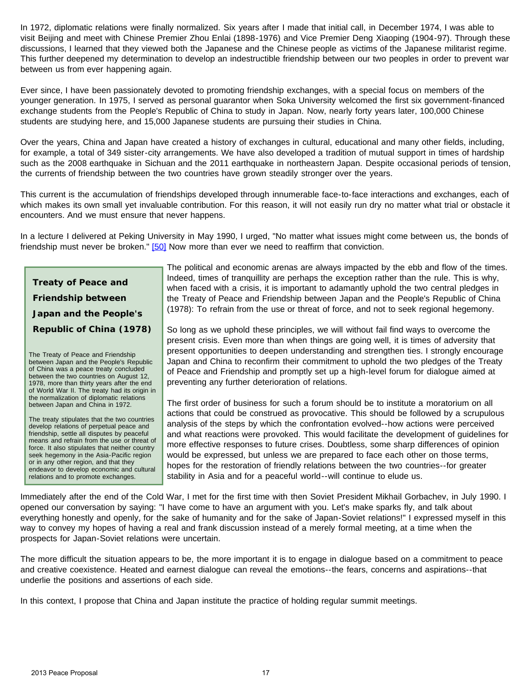In 1972, diplomatic relations were finally normalized. Six years after I made that initial call, in December 1974, I was able to visit Beijing and meet with Chinese Premier Zhou Enlai (1898-1976) and Vice Premier Deng Xiaoping (1904-97). Through these discussions, I learned that they viewed both the Japanese and the Chinese people as victims of the Japanese militarist regime. This further deepened my determination to develop an indestructible friendship between our two peoples in order to prevent war between us from ever happening again.

Ever since, I have been passionately devoted to promoting friendship exchanges, with a special focus on members of the younger generation. In 1975, I served as personal guarantor when Soka University welcomed the first six government-financed exchange students from the People's Republic of China to study in Japan. Now, nearly forty years later, 100,000 Chinese students are studying here, and 15,000 Japanese students are pursuing their studies in China.

Over the years, China and Japan have created a history of exchanges in cultural, educational and many other fields, including, for example, a total of 349 sister-city arrangements. We have also developed a tradition of mutual support in times of hardship such as the 2008 earthquake in Sichuan and the 2011 earthquake in northeastern Japan. Despite occasional periods of tension, the currents of friendship between the two countries have grown steadily stronger over the years.

This current is the accumulation of friendships developed through innumerable face-to-face interactions and exchanges, each of which makes its own small yet invaluable contribution. For this reason, it will not easily run dry no matter what trial or obstacle it encounters. And we must ensure that never happens.

In a lecture I delivered at Peking University in May 1990, I urged, "No matter what issues might come between us, the bonds of friendship must never be broken." [50] Now more than ever we need to reaffirm that conviction.

**Treaty of Peace and Friendship between Japan and the People's Republic of China (1978)**

The Treaty of Peace and Friendship between Japan and the People's Republic of China was a peace treaty concluded between the two countries on August 12, 1978, more than thirty years after the end of World War II. The treaty had its origin in the normalization of diplomatic relations between Japan and China in 1972.

The treaty stipulates that the two countries develop relations of perpetual peace and friendship, settle all disputes by peaceful means and refrain from the use or threat of force. It also stipulates that neither country seek hegemony in the Asia-Pacific region or in any other region, and that they endeavor to develop economic and cultural relations and to promote exchanges.

The political and economic arenas are always impacted by the ebb and flow of the times. Indeed, times of tranquillity are perhaps the exception rather than the rule. This is why, when faced with a crisis, it is important to adamantly uphold the two central pledges in the Treaty of Peace and Friendship between Japan and the People's Republic of China (1978): To refrain from the use or threat of force, and not to seek regional hegemony.

So long as we uphold these principles, we will without fail find ways to overcome the present crisis. Even more than when things are going well, it is times of adversity that present opportunities to deepen understanding and strengthen ties. I strongly encourage Japan and China to reconfirm their commitment to uphold the two pledges of the Treaty of Peace and Friendship and promptly set up a high-level forum for dialogue aimed at preventing any further deterioration of relations.

The first order of business for such a forum should be to institute a moratorium on all actions that could be construed as provocative. This should be followed by a scrupulous analysis of the steps by which the confrontation evolved--how actions were perceived and what reactions were provoked. This would facilitate the development of guidelines for more effective responses to future crises. Doubtless, some sharp differences of opinion would be expressed, but unless we are prepared to face each other on those terms, hopes for the restoration of friendly relations between the two countries--for greater stability in Asia and for a peaceful world--will continue to elude us.

Immediately after the end of the Cold War, I met for the first time with then Soviet President Mikhail Gorbachev, in July 1990. I opened our conversation by saying: "I have come to have an argument with you. Let's make sparks fly, and talk about everything honestly and openly, for the sake of humanity and for the sake of Japan-Soviet relations!" I expressed myself in this way to convey my hopes of having a real and frank discussion instead of a merely formal meeting, at a time when the prospects for Japan-Soviet relations were uncertain.

The more difficult the situation appears to be, the more important it is to engage in dialogue based on a commitment to peace and creative coexistence. Heated and earnest dialogue can reveal the emotions--the fears, concerns and aspirations--that underlie the positions and assertions of each side.

In this context, I propose that China and Japan institute the practice of holding regular summit meetings.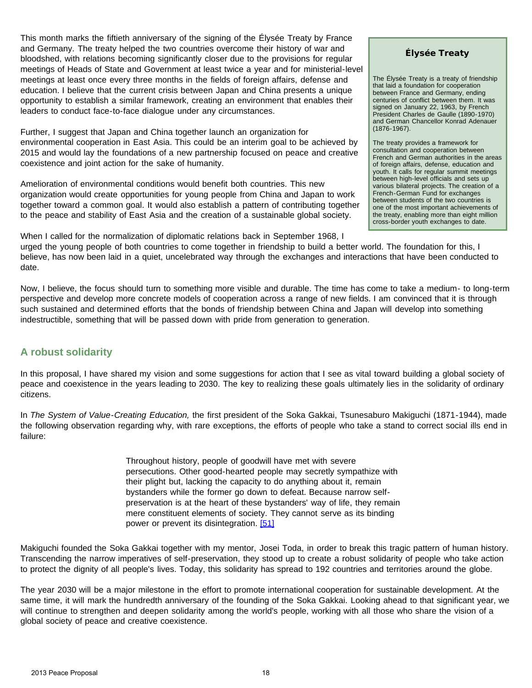This month marks the fiftieth anniversary of the signing of the Élysée Treaty by France and Germany. The treaty helped the two countries overcome their history of war and bloodshed, with relations becoming significantly closer due to the provisions for regular meetings of Heads of State and Government at least twice a year and for ministerial-level meetings at least once every three months in the fields of foreign affairs, defense and education. I believe that the current crisis between Japan and China presents a unique opportunity to establish a similar framework, creating an environment that enables their leaders to conduct face-to-face dialogue under any circumstances.

Further, I suggest that Japan and China together launch an organization for environmental cooperation in East Asia. This could be an interim goal to be achieved by 2015 and would lay the foundations of a new partnership focused on peace and creative coexistence and joint action for the sake of humanity.

Amelioration of environmental conditions would benefit both countries. This new organization would create opportunities for young people from China and Japan to work together toward a common goal. It would also establish a pattern of contributing together to the peace and stability of East Asia and the creation of a sustainable global society.

When I called for the normalization of diplomatic relations back in September 1968, I

urged the young people of both countries to come together in friendship to build a better world. The foundation for this, I believe, has now been laid in a quiet, uncelebrated way through the exchanges and interactions that have been conducted to date.

Now, I believe, the focus should turn to something more visible and durable. The time has come to take a medium- to long-term perspective and develop more concrete models of cooperation across a range of new fields. I am convinced that it is through such sustained and determined efforts that the bonds of friendship between China and Japan will develop into something indestructible, something that will be passed down with pride from generation to generation.

# **A robust solidarity**

In this proposal, I have shared my vision and some suggestions for action that I see as vital toward building a global society of peace and coexistence in the years leading to 2030. The key to realizing these goals ultimately lies in the solidarity of ordinary citizens.

In *The System of Value-Creating Education,* the first president of the Soka Gakkai, Tsunesaburo Makiguchi (1871-1944), made the following observation regarding why, with rare exceptions, the efforts of people who take a stand to correct social ills end in failure:

> Throughout history, people of goodwill have met with severe persecutions. Other good-hearted people may secretly sympathize with their plight but, lacking the capacity to do anything about it, remain bystanders while the former go down to defeat. Because narrow selfpreservation is at the heart of these bystanders' way of life, they remain mere constituent elements of society. They cannot serve as its binding power or prevent its disintegration. [51]

Makiguchi founded the Soka Gakkai together with my mentor, Josei Toda, in order to break this tragic pattern of human history. Transcending the narrow imperatives of self-preservation, they stood up to create a robust solidarity of people who take action to protect the dignity of all people's lives. Today, this solidarity has spread to 192 countries and territories around the globe.

The year 2030 will be a major milestone in the effort to promote international cooperation for sustainable development. At the same time, it will mark the hundredth anniversary of the founding of the Soka Gakkai. Looking ahead to that significant year, we will continue to strengthen and deepen solidarity among the world's people, working with all those who share the vision of a global society of peace and creative coexistence.

### **Élysée Treaty**

The Élysée Treaty is a treaty of friendship that laid a foundation for cooperation between France and Germany, ending centuries of conflict between them. It was signed on January 22, 1963, by French President Charles de Gaulle (1890-1970) and German Chancellor Konrad Adenauer (1876-1967).

The treaty provides a framework for consultation and cooperation between French and German authorities in the areas of foreign affairs, defense, education and youth. It calls for regular summit meetings between high-level officials and sets up various bilateral projects. The creation of a French-German Fund for exchanges between students of the two countries is one of the most important achievements of the treaty, enabling more than eight million cross-border youth exchanges to date.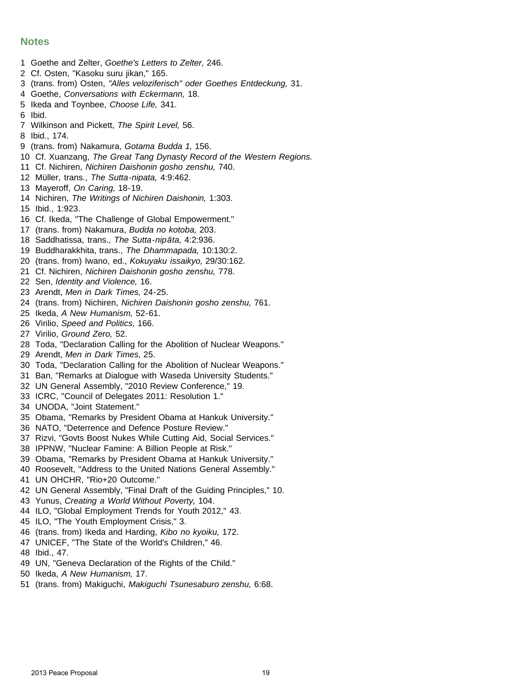#### **Notes**

- 1 Goethe and Zelter, *Goethe's Letters to Zelter,* 246.
- 2 Cf. Osten, "Kasoku suru jikan," 165.
- 3 (trans. from) Osten, *"Alles veloziferisch" oder Goethes Entdeckung,* 31.
- 4 Goethe, *Conversations with Eckermann,* 18.
- 5 Ikeda and Toynbee, *Choose Life,* 341.
- 6 Ibid.
- 7 Wilkinson and Pickett, *The Spirit Level,* 56.
- 8 Ibid., 174.
- 9 (trans. from) Nakamura, *Gotama Budda 1,* 156.
- 10 Cf. Xuanzang, *The Great Tang Dynasty Record of the Western Regions.*
- 11 Cf. Nichiren, *Nichiren Daishonin gosho zenshu,* 740.
- 12 Müller, trans., *The Sutta-nipata,* 4:9:462.
- 13 Mayeroff, *On Caring,* 18-19.
- 14 Nichiren, *The Writings of Nichiren Daishonin,* 1:303.
- 15 Ibid., 1:923.
- 16 Cf. Ikeda, "The Challenge of Global Empowerment."
- 17 (trans. from) Nakamura, *Budda no kotoba,* 203.
- 18 Saddhatissa, trans., *The Sutta-nipāta,* 4:2:936.
- 19 Buddharakkhita, trans., *The Dhammapada,* 10:130:2.
- 20 (trans. from) Iwano, ed., *Kokuyaku issaikyo,* 29/30:162.
- 21 Cf. Nichiren, *Nichiren Daishonin gosho zenshu,* 778.
- 22 Sen, *Identity and Violence,* 16.
- 23 Arendt, *Men in Dark Times,* 24-25.
- 24 (trans. from) Nichiren, *Nichiren Daishonin gosho zenshu,* 761.
- 25 Ikeda, *A New Humanism,* 52-61.
- 26 Virilio, *Speed and Politics,* 166.
- 27 Virilio, *Ground Zero,* 52.
- 28 Toda, "Declaration Calling for the Abolition of Nuclear Weapons."
- 29 Arendt, *Men in Dark Times,* 25.
- 30 Toda, "Declaration Calling for the Abolition of Nuclear Weapons."
- 31 Ban, "Remarks at Dialogue with Waseda University Students."
- 32 UN General Assembly, "2010 Review Conference," 19.
- 33 ICRC, "Council of Delegates 2011: Resolution 1."
- 34 UNODA, "Joint Statement."
- 35 Obama, "Remarks by President Obama at Hankuk University."
- 36 NATO, "Deterrence and Defence Posture Review."
- 37 Rizvi, "Govts Boost Nukes While Cutting Aid, Social Services."
- 38 IPPNW, "Nuclear Famine: A Billion People at Risk."
- 39 Obama, "Remarks by President Obama at Hankuk University."
- 40 Roosevelt, "Address to the United Nations General Assembly."
- 41 UN OHCHR, "Rio+20 Outcome."
- 42 UN General Assembly, "Final Draft of the Guiding Principles," 10.
- 43 Yunus, *Creating a World Without Poverty,* 104.
- 44 ILO, "Global Employment Trends for Youth 2012," 43.
- 45 ILO, "The Youth Employment Crisis," 3.
- 46 (trans. from) Ikeda and Harding, *Kibo no kyoiku,* 172.
- 47 UNICEF, "The State of the World's Children," 46.
- 48 Ibid., 47.
- 49 UN, "Geneva Declaration of the Rights of the Child."
- 50 Ikeda, *A New Humanism,* 17.
- 51 (trans. from) Makiguchi, *Makiguchi Tsunesaburo zenshu,* 6:68.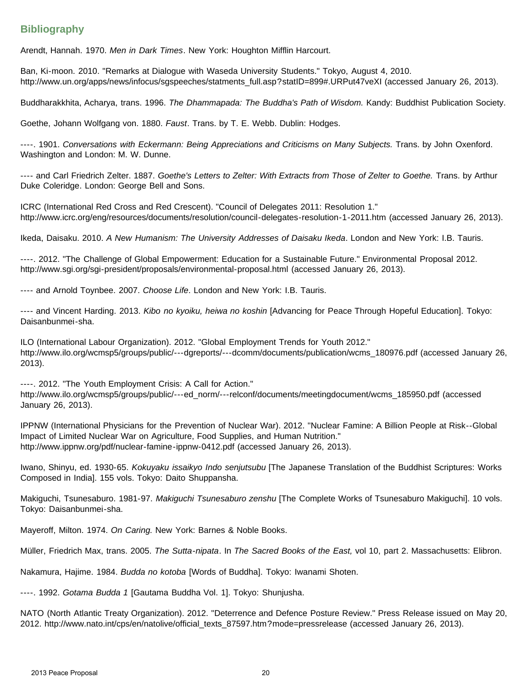## **Bibliography**

Arendt, Hannah. 1970. *Men in Dark Times*. New York: Houghton Mifflin Harcourt.

Ban, Ki-moon. 2010. "Remarks at Dialogue with Waseda University Students." Tokyo, August 4, 2010. http://www.un.org/apps/news/infocus/sgspeeches/statments\_full.asp?statID=899#.URPut47veXI (accessed January 26, 2013).

Buddharakkhita, Acharya, trans. 1996. *The Dhammapada: The Buddha's Path of Wisdom.* Kandy: Buddhist Publication Society.

Goethe, Johann Wolfgang von. 1880. *Faust*. Trans. by T. E. Webb. Dublin: Hodges.

----. 1901. *Conversations with Eckermann: Being Appreciations and Criticisms on Many Subjects.* Trans. by John Oxenford. Washington and London: M. W. Dunne.

---- and Carl Friedrich Zelter. 1887. *Goethe's Letters to Zelter: With Extracts from Those of Zelter to Goethe.* Trans. by Arthur Duke Coleridge. London: George Bell and Sons.

ICRC (International Red Cross and Red Crescent). "Council of Delegates 2011: Resolution 1." http://www.icrc.org/eng/resources/documents/resolution/council-delegates-resolution-1-2011.htm (accessed January 26, 2013).

Ikeda, Daisaku. 2010. *A New Humanism: The University Addresses of Daisaku Ikeda*. London and New York: I.B. Tauris.

----. 2012. "The Challenge of Global Empowerment: Education for a Sustainable Future." Environmental Proposal 2012. http://www.sgi.org/sgi-president/proposals/environmental-proposal.html (accessed January 26, 2013).

---- and Arnold Toynbee. 2007. *Choose Life*. London and New York: I.B. Tauris.

---- and Vincent Harding. 2013. *Kibo no kyoiku, heiwa no koshin* [Advancing for Peace Through Hopeful Education]. Tokyo: Daisanbunmei-sha.

ILO (International Labour Organization). 2012. "Global Employment Trends for Youth 2012." http://www.ilo.org/wcmsp5/groups/public/---dgreports/---dcomm/documents/publication/wcms\_180976.pdf (accessed January 26, 2013).

----. 2012. "The Youth Employment Crisis: A Call for Action." http://www.ilo.org/wcmsp5/groups/public/---ed\_norm/---relconf/documents/meetingdocument/wcms\_185950.pdf (accessed January 26, 2013).

IPPNW (International Physicians for the Prevention of Nuclear War). 2012. "Nuclear Famine: A Billion People at Risk--Global Impact of Limited Nuclear War on Agriculture, Food Supplies, and Human Nutrition." http://www.ippnw.org/pdf/nuclear-famine-ippnw-0412.pdf (accessed January 26, 2013).

Iwano, Shinyu, ed. 1930-65. *Kokuyaku issaikyo Indo senjutsubu* [The Japanese Translation of the Buddhist Scriptures: Works Composed in India]. 155 vols. Tokyo: Daito Shuppansha.

Makiguchi, Tsunesaburo. 1981-97. *Makiguchi Tsunesaburo zenshu* [The Complete Works of Tsunesaburo Makiguchi]. 10 vols. Tokyo: Daisanbunmei-sha.

Mayeroff, Milton. 1974. *On Caring.* New York: Barnes & Noble Books.

Müller, Friedrich Max, trans. 2005. *The Sutta-nipata*. In *The Sacred Books of the East,* vol 10, part 2. Massachusetts: Elibron.

Nakamura, Hajime. 1984. *Budda no kotoba* [Words of Buddha]. Tokyo: Iwanami Shoten.

----. 1992. *Gotama Budda 1* [Gautama Buddha Vol. 1]. Tokyo: Shunjusha.

NATO (North Atlantic Treaty Organization). 2012. "Deterrence and Defence Posture Review." Press Release issued on May 20, 2012. http://www.nato.int/cps/en/natolive/official\_texts\_87597.htm?mode=pressrelease (accessed January 26, 2013).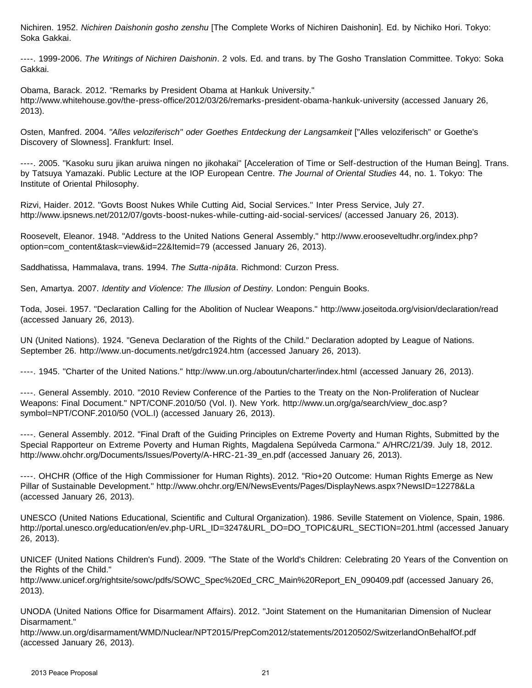Nichiren. 1952. *Nichiren Daishonin gosho zenshu* [The Complete Works of Nichiren Daishonin]. Ed. by Nichiko Hori. Tokyo: Soka Gakkai.

----. 1999-2006. *The Writings of Nichiren Daishonin*. 2 vols. Ed. and trans. by The Gosho Translation Committee. Tokyo: Soka Gakkai.

Obama, Barack. 2012. "Remarks by President Obama at Hankuk University." http://www.whitehouse.gov/the-press-office/2012/03/26/remarks-president-obama-hankuk-university (accessed January 26, 2013).

Osten, Manfred. 2004. *"Alles veloziferisch" oder Goethes Entdeckung der Langsamkeit* ["Alles veloziferisch" or Goethe's Discovery of Slowness]. Frankfurt: Insel.

----. 2005. "Kasoku suru jikan aruiwa ningen no jikohakai" [Acceleration of Time or Self-destruction of the Human Being]. Trans. by Tatsuya Yamazaki. Public Lecture at the IOP European Centre. *The Journal of Oriental Studies* 44, no. 1. Tokyo: The Institute of Oriental Philosophy.

Rizvi, Haider. 2012. "Govts Boost Nukes While Cutting Aid, Social Services." Inter Press Service, July 27. http://www.ipsnews.net/2012/07/govts-boost-nukes-while-cutting-aid-social-services/ (accessed January 26, 2013).

Roosevelt, Eleanor. 1948. "Address to the United Nations General Assembly." http://www.erooseveltudhr.org/index.php? option=com\_content&task=view&id=22&Itemid=79 (accessed January 26, 2013).

Saddhatissa, Hammalava, trans. 1994. *The Sutta-nipāta*. Richmond: Curzon Press.

Sen, Amartya. 2007. *Identity and Violence: The Illusion of Destiny.* London: Penguin Books.

Toda, Josei. 1957. "Declaration Calling for the Abolition of Nuclear Weapons." http://www.joseitoda.org/vision/declaration/read (accessed January 26, 2013).

UN (United Nations). 1924. "Geneva Declaration of the Rights of the Child." Declaration adopted by League of Nations. September 26. http://www.un-documents.net/gdrc1924.htm (accessed January 26, 2013).

----. 1945. "Charter of the United Nations." http://www.un.org./aboutun/charter/index.html (accessed January 26, 2013).

----. General Assembly. 2010. "2010 Review Conference of the Parties to the Treaty on the Non-Proliferation of Nuclear Weapons: Final Document." NPT/CONF.2010/50 (Vol. I). New York. http://www.un.org/ga/search/view\_doc.asp? symbol=NPT/CONF.2010/50 (VOL.I) (accessed January 26, 2013).

----. General Assembly. 2012. "Final Draft of the Guiding Principles on Extreme Poverty and Human Rights, Submitted by the Special Rapporteur on Extreme Poverty and Human Rights, Magdalena Sepúlveda Carmona." A/HRC/21/39. July 18, 2012. http://www.ohchr.org/Documents/Issues/Poverty/A-HRC-21-39\_en.pdf (accessed January 26, 2013).

----. OHCHR (Office of the High Commissioner for Human Rights). 2012. "Rio+20 Outcome: Human Rights Emerge as New Pillar of Sustainable Development." http://www.ohchr.org/EN/NewsEvents/Pages/DisplayNews.aspx?NewsID=12278&La (accessed January 26, 2013).

UNESCO (United Nations Educational, Scientific and Cultural Organization). 1986. Seville Statement on Violence, Spain, 1986. http://portal.unesco.org/education/en/ev.php-URL\_ID=3247&URL\_DO=DO\_TOPIC&URL\_SECTION=201.html (accessed January 26, 2013).

UNICEF (United Nations Children's Fund). 2009. "The State of the World's Children: Celebrating 20 Years of the Convention on the Rights of the Child."

http://www.unicef.org/rightsite/sowc/pdfs/SOWC\_Spec%20Ed\_CRC\_Main%20Report\_EN\_090409.pdf (accessed January 26, 2013).

UNODA (United Nations Office for Disarmament Affairs). 2012. "Joint Statement on the Humanitarian Dimension of Nuclear Disarmament."

http://www.un.org/disarmament/WMD/Nuclear/NPT2015/PrepCom2012/statements/20120502/SwitzerlandOnBehalfOf.pdf (accessed January 26, 2013).